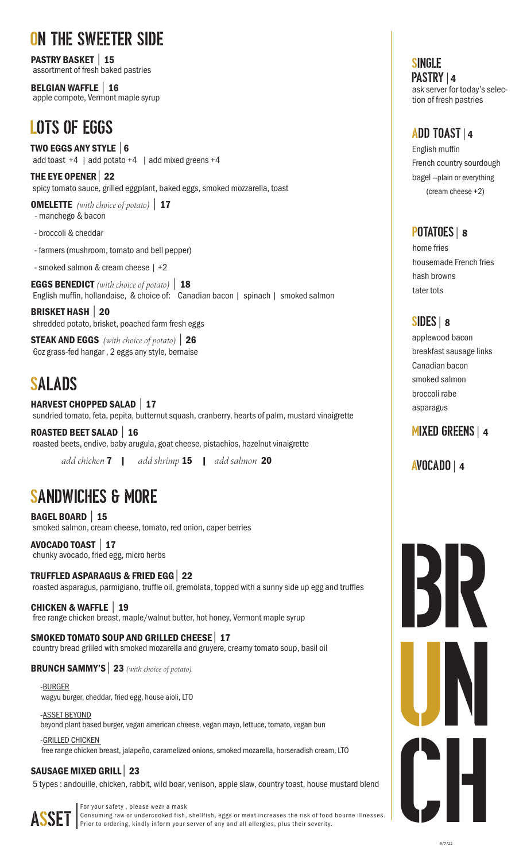# ON THE SWEETER SIDE

PASTRY BASKET | 15 assortment of fresh baked pastries

BELGIAN WAFFLE | 16 apple compote, Vermont maple syrup

# LOTS OF EGGS

TWO EGGS ANY STYLE | 6 add toast  $+4$  | add potato  $+4$  | add mixed greens  $+4$ 

THE EYE OPENER | 22 spicy tomato sauce, grilled eggplant, baked eggs, smoked mozzarella, toast

OMELETTE *(with choice of potato)* | 17

- manchego & bacon
- broccoli & cheddar
- farmers (mushroom, tomato and bell pepper)
- smoked salmon & cream cheese | +2

EGGS BENEDICT *(with choice of potato)* | 18 English muffin, hollandaise, & choice of: Canadian bacon | spinach | smoked salmon

BRISKET HASH | 20 shredded potato, brisket, poached farm fresh eggs

STEAK AND EGGS *(with choice of potato)* | 26 6oz grass-fed hangar , 2 eggs any style, bernaise

# SALADS

HARVEST CHOPPED SALAD | 17 sundried tomato, feta, pepita, butternut squash, cranberry, hearts of palm, mustard vinaigrette

ROASTED BEET SALAD | 16 roasted beets, endive, baby arugula, goat cheese, pistachios, hazelnut vinaigrette

*add chicken* 7| *add shrimp* 15 | *add salmon* 20

# SANDWICHES & MORE

BAGEL BOARD | 15 smoked salmon, cream cheese, tomato, red onion, caper berries

AVOCADO TOAST| 17 chunky avocado, fried egg, micro herbs

TRUFFLED ASPARAGUS & FRIED EGG | 22 roasted asparagus, parmigiano, truffle oil, gremolata, topped with a sunny side up egg and truffles

CHICKEN & WAFFLE| 19 free range chicken breast, maple/walnut butter, hot honey, Vermont maple syrup

SMOKED TOMATO SOUP AND GRILLED CHEESE | 17 country bread grilled with smoked mozarella and gruyere, creamy tomato soup, basil oil

BRUNCH SAMMY'S | 23 *(with choice of potato)*

 -BURGER wagyu burger, cheddar, fried egg, house aioli, LTO

 -ASSET BEYOND beyond plant based burger, vegan american cheese, vegan mayo, lettuce, tomato, vegan bun

 -GRILLED CHICKEN free range chicken breast, jalapeño, caramelized onions, smoked mozarella, horseradish cream, LTO

#### SAUSAGE MIXED GRILL | 23

5 types : andouille, chicken, rabbit, wild boar, venison, apple slaw, country toast, house mustard blend



For your safety , please wear a mask Consuming raw or undercooked fish, shellfish, eggs or meat increases the risk of food bourne illnesses. Prior to ordering, kindly inform your server of any and all allergies, plus their severity.

SINGLE PASTRY | 4 ask server for today's selection of fresh pastries

### ADD TOAST| 4

English muffin French country sourdough bagel --plain or everything (cream cheese +2)

### POTATOES | 8

home fries housemade French fries hash browns tater tots

## SIDES | 8

applewood bacon breakfast sausage links Canadian bacon smoked salmon broccoli rabe asparagus

## MIXED GREENS| 4

AVOCADO | 4